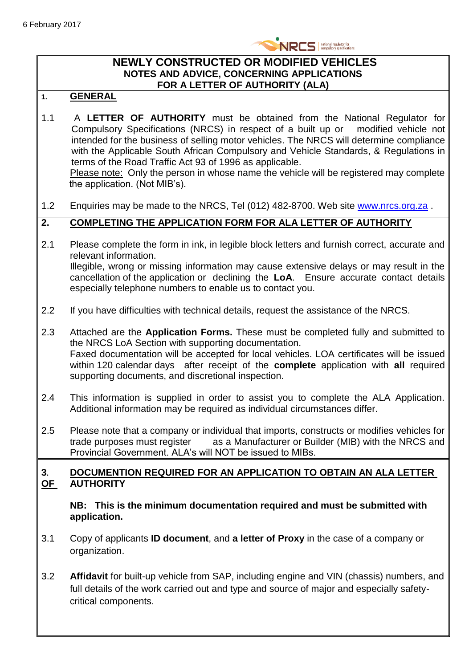

#### **NEWLY CONSTRUCTED OR MODIFIED VEHICLES NOTES AND ADVICE, CONCERNING APPLICATIONS FOR A LETTER OF AUTHORITY (ALA)**

#### **1. GENERAL**

- 1.1 A **LETTER OF AUTHORITY** must be obtained from the National Regulator for Compulsory Specifications (NRCS) in respect of a built up or modified vehicle not intended for the business of selling motor vehicles. The NRCS will determine compliance with the Applicable South African Compulsory and Vehicle Standards, & Regulations in terms of the Road Traffic Act 93 of 1996 as applicable. Please note: Only the person in whose name the vehicle will be registered may complete the application. (Not MIB's).
- 1.2 Enquiries may be made to the NRCS, Tel (012) 482-8700. Web site [www.nrcs.org.za](http://www.nrcs.org.za/) .

#### **2. COMPLETING THE APPLICATION FORM FOR ALA LETTER OF AUTHORITY**

- 2.1 Please complete the form in ink, in legible block letters and furnish correct, accurate and relevant information. Illegible, wrong or missing information may cause extensive delays or may result in the cancellation of the application or declining the **LoA**. Ensure accurate contact details especially telephone numbers to enable us to contact you.
- 2.2 If you have difficulties with technical details, request the assistance of the NRCS.
- 2.3 Attached are the **Application Forms.** These must be completed fully and submitted to the NRCS LoA Section with supporting documentation. Faxed documentation will be accepted for local vehicles. LOA certificates will be issued within 120 calendar days after receipt of the **complete** application with **all** required supporting documents, and discretional inspection.
- 2.4 This information is supplied in order to assist you to complete the ALA Application. Additional information may be required as individual circumstances differ.
- 2.5 Please note that a company or individual that imports, constructs or modifies vehicles for trade purposes must register as a Manufacturer or Builder (MIB) with the NRCS and Provincial Government. ALA's will NOT be issued to MIBs.

#### **3. DOCUMENTION REQUIRED FOR AN APPLICATION TO OBTAIN AN ALA LETTER OF AUTHORITY**

**NB: This is the minimum documentation required and must be submitted with application.**

- 3.1 Copy of applicants **ID document**, and **a letter of Proxy** in the case of a company or organization.
- 3.2 **Affidavit** for built-up vehicle from SAP, including engine and VIN (chassis) numbers, and full details of the work carried out and type and source of major and especially safetycritical components.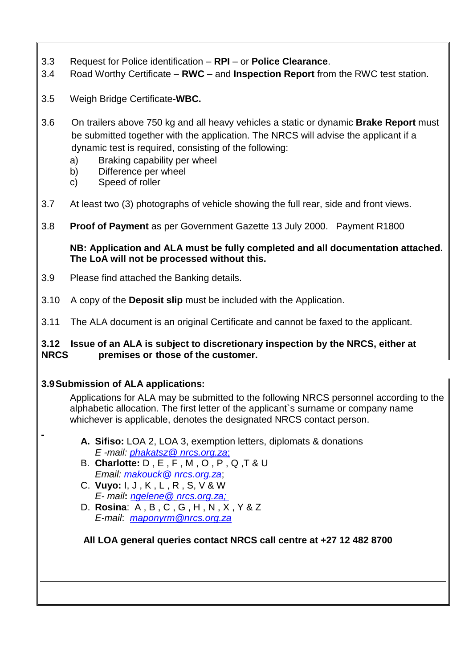- 3.3 Request for Police identification **RPI** or **Police Clearance**.
- 3.4 Road Worthy Certificate **RWC –** and **Inspection Report** from the RWC test station.
- 3.5 Weigh Bridge Certificate-**WBC.**
- 3.6 On trailers above 750 kg and all heavy vehicles a static or dynamic **Brake Report** must be submitted together with the application. The NRCS will advise the applicant if a dynamic test is required, consisting of the following:
	- a) Braking capability per wheel
	- b) Difference per wheel
	- c) Speed of roller
- 3.7 At least two (3) photographs of vehicle showing the full rear, side and front views.
- 3.8 **Proof of Payment** as per Government Gazette 13 July 2000. Payment R1800

**NB: Application and ALA must be fully completed and all documentation attached. The LoA will not be processed without this.**

- 3.9 Please find attached the Banking details.
- 3.10 A copy of the **Deposit slip** must be included with the Application.
- 3.11 The ALA document is an original Certificate and cannot be faxed to the applicant.

#### **3.12 Issue of an ALA is subject to discretionary inspection by the NRCS, either at NRCS premises or those of the customer.**

#### **3.9Submission of ALA applications:**

Applications for ALA may be submitted to the following NRCS personnel according to the alphabetic allocation. The first letter of the applicant`s surname or company name whichever is applicable, denotes the designated NRCS contact person.

- **A. Sifiso:** LOA 2, LOA 3, exemption letters, diplomats & donations *E -mail: phakatsz@ nrcs.org.za*;
- B. **Charlotte:** D , E , F , M , O , P , Q ,T & U *Email: [makouck@](mailto:-makouck@sabs.co.za) nrcs.org.za*;
- C. **Vuyo:** I, J , K , L , R , S, V & W *E- mail***:** *ngelene@ nrcs.org.za;*
- D. **Rosina**: A , B , C , G , H , N , X , Y & Z *E-mail*: *[maponyrm@nrcs.org.za](mailto:maponyrm@nrcs.org.za)*

 **All LOA general queries contact NRCS call centre at +27 12 482 8700**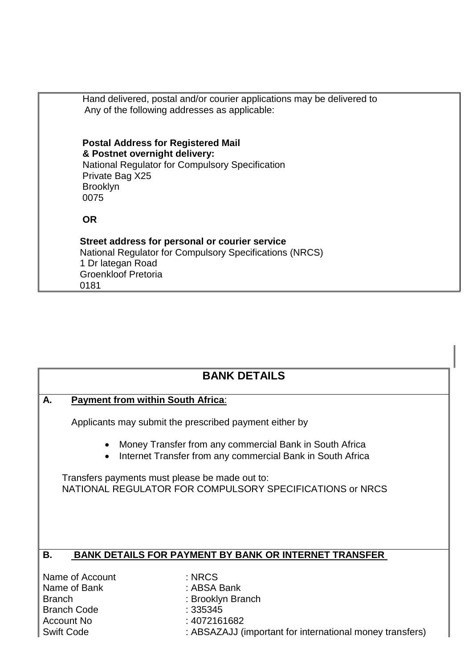| Hand delivered, postal and/or courier applications may be delivered to<br>Any of the following addresses as applicable:                                                     |
|-----------------------------------------------------------------------------------------------------------------------------------------------------------------------------|
| <b>Postal Address for Registered Mail</b><br>& Postnet overnight delivery:<br>National Regulator for Compulsory Specification<br>Private Bag X25<br><b>Brooklyn</b><br>0075 |
| <b>OR</b>                                                                                                                                                                   |
| Street address for personal or courier service<br><b>National Regulator for Compulsory Specifications (NRCS)</b><br>1 Dr lategan Road<br><b>Groenkloof Pretoria</b><br>0181 |

## **BANK DETAILS**

#### **A. Payment from within South Africa**:

Applicants may submit the prescribed payment either by

- Money Transfer from any commercial Bank in South Africa
- Internet Transfer from any commercial Bank in South Africa

Transfers payments must please be made out to: NATIONAL REGULATOR FOR COMPULSORY SPECIFICATIONS or NRCS

### **B. BANK DETAILS FOR PAYMENT BY BANK OR INTERNET TRANSFER**

Name of Account : NRCS Name of Bank : ABSA Bank Branch : Brooklyn Branch Branch Code : 335345 Account No : 4072161682

- 
- 
- 
- 
- Swift Code : ABSAZAJJ (important for international money transfers)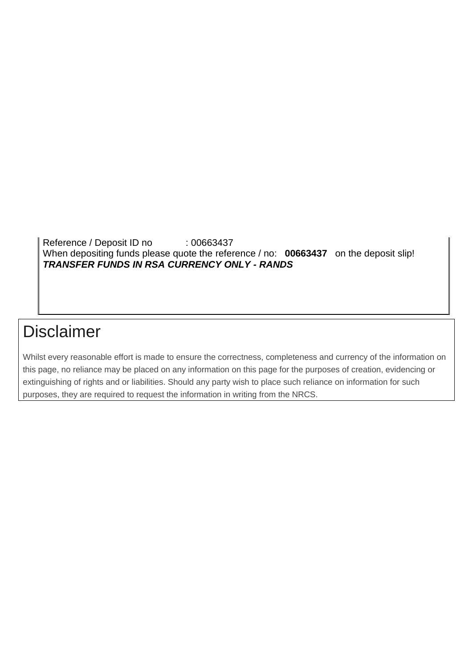Reference / Deposit ID no : 00663437 When depositing funds please quote the reference / no: **00663437** on the deposit slip! *TRANSFER FUNDS IN RSA CURRENCY ONLY - RANDS*

# Disclaimer

Whilst every reasonable effort is made to ensure the correctness, completeness and currency of the information on this page, no reliance may be placed on any information on this page for the purposes of creation, evidencing or extinguishing of rights and or liabilities. Should any party wish to place such reliance on information for such purposes, they are required to request the information in writing from the NRCS.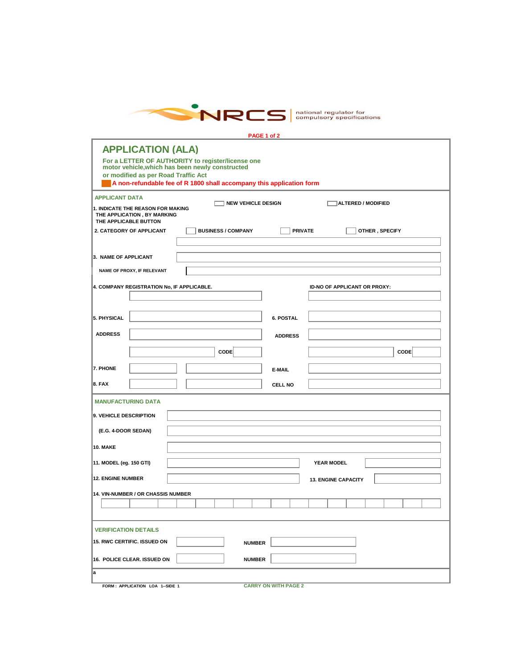

|                                                                                           |                                                                      | PAGE 1 of 2                 |                              |  |
|-------------------------------------------------------------------------------------------|----------------------------------------------------------------------|-----------------------------|------------------------------|--|
| <b>APPLICATION (ALA)</b>                                                                  |                                                                      |                             |                              |  |
| motor vehicle, which has been newly constructed                                           | For a LETTER OF AUTHORITY to register/license one                    |                             |                              |  |
| or modified as per Road Traffic Act                                                       | A non-refundable fee of R 1800 shall accompany this application form |                             |                              |  |
| <b>APPLICANT DATA</b>                                                                     |                                                                      |                             |                              |  |
| 1. INDICATE THE REASON FOR MAKING<br>THE APPLICATION, BY MARKING<br>THE APPLICABLE BUTTON | <b>NEW VEHICLE DESIGN</b>                                            |                             | ALTERED / MODIFIED           |  |
| 2. CATEGORY OF APPLICANT                                                                  | <b>BUSINESS / COMPANY</b>                                            | <b>PRIVATE</b>              | OTHER, SPECIFY               |  |
| 3. NAME OF APPLICANT                                                                      |                                                                      |                             |                              |  |
| NAME OF PROXY, IF RELEVANT                                                                |                                                                      |                             |                              |  |
| 4. COMPANY REGISTRATION No, IF APPLICABLE.                                                |                                                                      |                             | ID-NO OF APPLICANT OR PROXY: |  |
|                                                                                           |                                                                      |                             |                              |  |
| 5. PHYSICAL                                                                               |                                                                      | 6. POSTAL                   |                              |  |
| <b>ADDRESS</b>                                                                            |                                                                      | <b>ADDRESS</b>              |                              |  |
|                                                                                           | CODE                                                                 |                             | <b>CODE</b>                  |  |
| 7. PHONE                                                                                  |                                                                      | E-MAIL                      |                              |  |
| 8. FAX                                                                                    |                                                                      | CELL NO                     |                              |  |
| <b>MANUFACTURING DATA</b>                                                                 |                                                                      |                             |                              |  |
| 9. VEHICLE DESCRIPTION                                                                    |                                                                      |                             |                              |  |
| (E.G. 4-DOOR SEDAN)                                                                       |                                                                      |                             |                              |  |
| <b>10. MAKE</b>                                                                           |                                                                      |                             |                              |  |
| 11. MODEL (eg. 150 GTI)                                                                   |                                                                      |                             | <b>YEAR MODEL</b>            |  |
| <b>12. ENGINE NUMBER</b>                                                                  |                                                                      |                             | <b>13. ENGINE CAPACITY</b>   |  |
| 14. VIN-NUMBER / OR CHASSIS NUMBER                                                        |                                                                      |                             |                              |  |
|                                                                                           |                                                                      |                             |                              |  |
| <b>VERIFICATION DETAILS</b>                                                               |                                                                      |                             |                              |  |
| 15. RWC CERTIFIC. ISSUED ON                                                               | <b>NUMBER</b>                                                        |                             |                              |  |
| 16. POLICE CLEAR. ISSUED ON                                                               | <b>NUMBER</b>                                                        |                             |                              |  |
| a                                                                                         |                                                                      |                             |                              |  |
| FORM: APPLICATION LOA 1 -- SIDE 1                                                         |                                                                      | <b>CARRY ON WITH PAGE 2</b> |                              |  |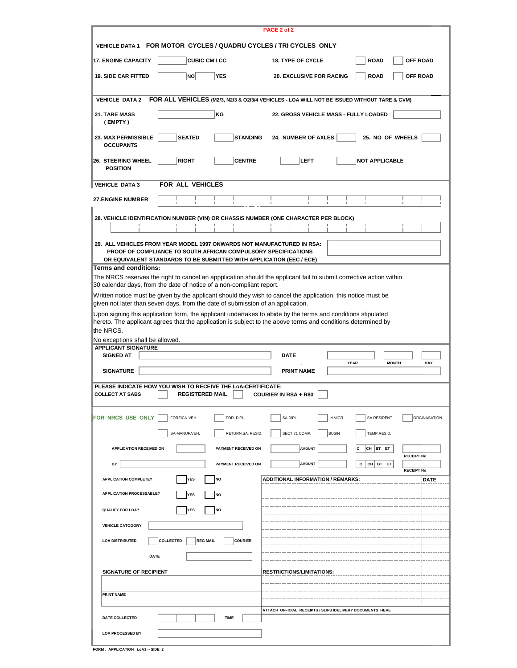| PAGE 2 of 2                                                                                                                                                                                                      |                                   |                                                                                                                                                                                                                              |              |  |  |  |  |  |  |  |  |
|------------------------------------------------------------------------------------------------------------------------------------------------------------------------------------------------------------------|-----------------------------------|------------------------------------------------------------------------------------------------------------------------------------------------------------------------------------------------------------------------------|--------------|--|--|--|--|--|--|--|--|
| VEHICLE DATA 1 FOR MOTOR CYCLES / QUADRU CYCLES / TRI CYCLES ONLY                                                                                                                                                |                                   |                                                                                                                                                                                                                              |              |  |  |  |  |  |  |  |  |
| <b>17. ENGINE CAPACITY</b>                                                                                                                                                                                       | <b>CUBIC CM / CC</b>              | <b>OFF ROAD</b><br><b>18. TYPE OF CYCLE</b><br><b>ROAD</b>                                                                                                                                                                   |              |  |  |  |  |  |  |  |  |
| <b>NO</b><br><b>19. SIDE CAR FITTED</b>                                                                                                                                                                          | <b>YES</b>                        | <b>ROAD</b><br><b>OFF ROAD</b><br><b>20. EXCLUSIVE FOR RACING</b>                                                                                                                                                            |              |  |  |  |  |  |  |  |  |
| <b>VEHICLE DATA 2</b>                                                                                                                                                                                            |                                   | FOR ALL VEHICLES (M2/3, N2/3 & O2/3/4 VEHICLES - LOA WILL NOT BE ISSUED WITHOUT TARE & GVM)                                                                                                                                  |              |  |  |  |  |  |  |  |  |
| 21. TARE MASS<br>(EMPTY)                                                                                                                                                                                         | KG                                | 22. GROSS VEHICLE MASS - FULLY LOADED                                                                                                                                                                                        |              |  |  |  |  |  |  |  |  |
| <b>SEATED</b><br><b>23. MAX PERMISSIBLE</b><br><b>OCCUPANTS</b>                                                                                                                                                  | <b>STANDING</b>                   | 25. NO OF WHEELS<br>24. NUMBER OF AXLES                                                                                                                                                                                      |              |  |  |  |  |  |  |  |  |
| <b>RIGHT</b><br>26. STEERING WHEEL<br><b>POSITION</b>                                                                                                                                                            | <b>CENTRE</b>                     | <b>LEFT</b><br><b>NOT APPLICABLE</b>                                                                                                                                                                                         |              |  |  |  |  |  |  |  |  |
| <b>FOR ALL VEHICLES</b><br><b>VEHICLE DATA 3</b>                                                                                                                                                                 |                                   |                                                                                                                                                                                                                              |              |  |  |  |  |  |  |  |  |
| <b>27.ENGINE NUMBER</b>                                                                                                                                                                                          |                                   |                                                                                                                                                                                                                              |              |  |  |  |  |  |  |  |  |
| 28. VEHICLE IDENTIFICATION NUMBER (VIN) OR CHASSIS NUMBER (ONE CHARACTER PER BLOCK)                                                                                                                              |                                   |                                                                                                                                                                                                                              |              |  |  |  |  |  |  |  |  |
|                                                                                                                                                                                                                  |                                   |                                                                                                                                                                                                                              |              |  |  |  |  |  |  |  |  |
| 29. ALL VEHICLES FROM YEAR MODEL 1997 ONWARDS NOT MANUFACTURED IN RSA:<br>PROOF OF COMPLIANCE TO SOUTH AFRICAN COMPULSORY SPECIFICATIONS<br>OR EQUIVALENT STANDARDS TO BE SUBMITTED WITH APPLICATION (EEC / ECE) |                                   |                                                                                                                                                                                                                              |              |  |  |  |  |  |  |  |  |
| <b>Terms and conditions:</b><br>30 calendar days, from the date of notice of a non-compliant report.                                                                                                             |                                   | The NRCS reserves the right to cancel an appplication should the applicant fail to submit corrective action within                                                                                                           |              |  |  |  |  |  |  |  |  |
| given not later than seven days, from the date of submission of an application.                                                                                                                                  |                                   | Written notice must be given by the applicant should they wish to cancel the application, this notice must be                                                                                                                |              |  |  |  |  |  |  |  |  |
|                                                                                                                                                                                                                  |                                   | Upon signing this application form, the applicant undertakes to abide by the terms and conditions stipulated<br>hereto. The applicant agrees that the application is subject to the above terms and conditions determined by |              |  |  |  |  |  |  |  |  |
| the NRCS.<br>No exceptions shall be allowed.                                                                                                                                                                     |                                   |                                                                                                                                                                                                                              |              |  |  |  |  |  |  |  |  |
| <b>APPLICANT SIGNATURE</b><br><b>SIGNED AT</b>                                                                                                                                                                   |                                   | <b>DATE</b>                                                                                                                                                                                                                  |              |  |  |  |  |  |  |  |  |
| <b>SIGNATURE</b>                                                                                                                                                                                                 |                                   | <b>YEAR</b><br><b>MONTH</b><br><b>PRINT NAME</b>                                                                                                                                                                             | DAY          |  |  |  |  |  |  |  |  |
| PLEASE INDICATE HOW YOU WISH TO RECEIVE THE LOA-CERTIFICATE:<br><b>COLLECT AT SABS</b>                                                                                                                           | <b>REGISTERED MAIL</b>            | <b>COURIER IN RSA + R80</b>                                                                                                                                                                                                  |              |  |  |  |  |  |  |  |  |
| FOR NRCS USE ONLY<br>FOREIGN VEH.                                                                                                                                                                                | FOR. DIPL.                        | SA DIPL<br><b>IMMIGR</b><br>SA.RESIDENT                                                                                                                                                                                      | ORGINASATION |  |  |  |  |  |  |  |  |
| SA-MANUF.VEH.                                                                                                                                                                                                    | RETURN.SA. RESID.                 | SECT.21 COMP.<br><b>BUSIN</b><br>TEMP.RESID.                                                                                                                                                                                 |              |  |  |  |  |  |  |  |  |
| APPLICATION RECEIVED ON                                                                                                                                                                                          | PAYMENT RECEIVED ON               | CH BT ET<br><b>AMOUNT</b><br>c<br><b>RECEIPT No</b>                                                                                                                                                                          |              |  |  |  |  |  |  |  |  |
| BY                                                                                                                                                                                                               | PAYMENT RECEIVED ON               | <b>AMOUNT</b><br>С<br>CН<br>BT ET<br><b>RECEIPT No</b>                                                                                                                                                                       |              |  |  |  |  |  |  |  |  |
| <b>APPLICATION COMPLETE?</b><br>YES                                                                                                                                                                              | <b>NO</b>                         | <b>ADDITIONAL INFORMATION / REMARKS:</b>                                                                                                                                                                                     | <b>DATE</b>  |  |  |  |  |  |  |  |  |
| <b>APPLICATION PROCESSABLE?</b><br><b>YES</b>                                                                                                                                                                    | <b>NO</b>                         |                                                                                                                                                                                                                              |              |  |  |  |  |  |  |  |  |
| <b>QUALIFY FOR LOA?</b><br><b>YES</b>                                                                                                                                                                            | <b>NO</b>                         |                                                                                                                                                                                                                              |              |  |  |  |  |  |  |  |  |
| <b>VEHICLE CATOGORY</b>                                                                                                                                                                                          |                                   |                                                                                                                                                                                                                              |              |  |  |  |  |  |  |  |  |
| COLLECTED<br><b>LOA DISTRIBUTED</b>                                                                                                                                                                              | <b>REG MAIL</b><br><b>COURIER</b> |                                                                                                                                                                                                                              |              |  |  |  |  |  |  |  |  |
| <b>DATE</b>                                                                                                                                                                                                      |                                   |                                                                                                                                                                                                                              |              |  |  |  |  |  |  |  |  |
| <b>SIGNATURE OF RECIPIENT</b>                                                                                                                                                                                    |                                   | <b>RESTRICTIONS/LIMITATIONS:</b>                                                                                                                                                                                             |              |  |  |  |  |  |  |  |  |
| <b>PRINT NAME</b>                                                                                                                                                                                                |                                   |                                                                                                                                                                                                                              |              |  |  |  |  |  |  |  |  |
|                                                                                                                                                                                                                  |                                   | ATTACH OFFICIAL RECEIPTS / SLIPS /DELIVERY DOCUMENTS HERE                                                                                                                                                                    |              |  |  |  |  |  |  |  |  |
| DATE COLLECTED                                                                                                                                                                                                   | <b>TIME</b>                       |                                                                                                                                                                                                                              |              |  |  |  |  |  |  |  |  |
| <b>LOA PROCESSED BY</b>                                                                                                                                                                                          |                                   |                                                                                                                                                                                                                              |              |  |  |  |  |  |  |  |  |

**FORM : APPLICATION LoA1 -- SIDE 2**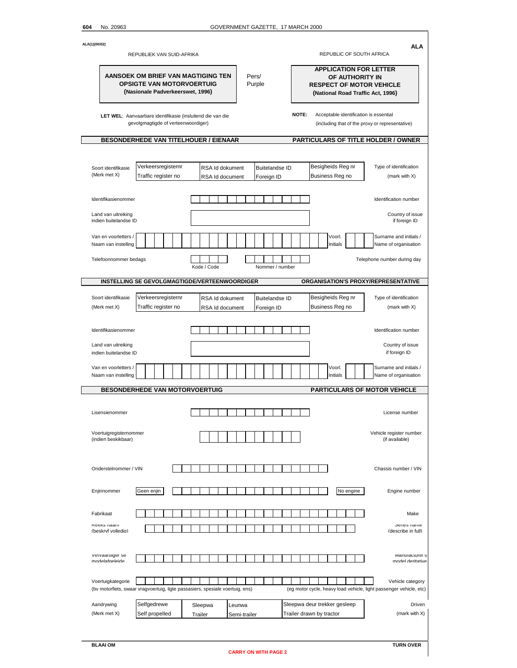ī

| ALA(1)(00/02)                                        | REPUBLIEK VAN SUID-AFRIKA                                                                                                                         |                                    |                        |                       | REPUBLIC OF SOUTH AFRICA                                                                                                 | ALA                                                                                    |  |  |
|------------------------------------------------------|---------------------------------------------------------------------------------------------------------------------------------------------------|------------------------------------|------------------------|-----------------------|--------------------------------------------------------------------------------------------------------------------------|----------------------------------------------------------------------------------------|--|--|
|                                                      | AANSOEK OM BRIEF VAN MAGTIGING TEN<br><b>OPSIGTE VAN MOTORVOERTUIG</b><br>(Nasionale Padverkeerswet, 1996)                                        |                                    | Pers/<br>Purple        |                       | <b>APPLICATION FOR LETTER</b><br>OF AUTHORITY IN<br><b>RESPECT OF MOTOR VEHICLE</b><br>(National Road Traffic Act, 1996) |                                                                                        |  |  |
|                                                      | LET WEL: Aanvaarbare identifikasie (insluitend die van die<br>gevolgmagtigde of verteenwoordiger)<br><b>BESONDERHEDE VAN TITELHOUER / EIENAAR</b> |                                    |                        | NOTE:                 | Acceptable identification is essential<br>(including that of the proxy or representative)                                | PARTICULARS OF TITLE HOLDER / OWNER                                                    |  |  |
|                                                      |                                                                                                                                                   |                                    |                        |                       |                                                                                                                          |                                                                                        |  |  |
| Soort identifikasie<br>(Merk met X)                  | Verkeersregisternr<br>Traffic register no                                                                                                         | RSA Id dokument<br>RSA Id document | Foreign ID             | <b>Buitelandse ID</b> | Besigheids Reg nr<br>Business Reg no                                                                                     | Type of identification<br>(mark with X)                                                |  |  |
| Identifikasienommer                                  |                                                                                                                                                   |                                    |                        |                       |                                                                                                                          | Identification number                                                                  |  |  |
| Land van uitreiking<br>indien buitelandse ID         |                                                                                                                                                   |                                    |                        |                       |                                                                                                                          | Country of issue<br>if foreign ID                                                      |  |  |
| Van en voorletters /<br>Naam van instelling          |                                                                                                                                                   |                                    |                        |                       | Voorl.<br>Initials                                                                                                       | Surname and initials /<br>Name of organisation                                         |  |  |
| Telefoonnommer bedags                                |                                                                                                                                                   | Kode / Code                        |                        | Nommer / number       |                                                                                                                          | Telephone number during day                                                            |  |  |
|                                                      | INSTELLING SE GEVOLGMAGTIGDE/VERTEENWOORDIGER                                                                                                     |                                    |                        |                       | ORGANISATION'S PROXY/REPRESENTATIVE                                                                                      |                                                                                        |  |  |
| Soort identifikasie<br>(Merk met X)                  | Verkeersregisternr<br>Traffic register no                                                                                                         | RSA Id dokument<br>RSA Id document | Foreign ID             | <b>Buitelandse ID</b> | Besigheids Reg nr<br>Business Reg no                                                                                     | Type of identification<br>(mark with X)                                                |  |  |
| Identifikasienommer                                  |                                                                                                                                                   |                                    |                        |                       |                                                                                                                          | Identification number                                                                  |  |  |
| Land van uitreiking<br>indien buitelandse ID         |                                                                                                                                                   |                                    |                        |                       |                                                                                                                          | Country of issue<br>if foreign ID                                                      |  |  |
| Van en voorletters /<br>Naam van instelling          |                                                                                                                                                   |                                    |                        |                       | Voorl.<br>Initials                                                                                                       | Surname and initials /<br>Name of organisation                                         |  |  |
|                                                      | <b>BESONDERHEDE VAN MOTORVOERTUIG</b>                                                                                                             |                                    |                        |                       | <b>PARTICULARS OF MOTOR VEHICLE</b>                                                                                      |                                                                                        |  |  |
| Lisensienommer                                       |                                                                                                                                                   |                                    |                        |                       |                                                                                                                          | License number                                                                         |  |  |
| Voertuigregisternommer<br>(indien beskikbaar)        |                                                                                                                                                   |                                    |                        |                       |                                                                                                                          | Vehicle register number<br>(if available)                                              |  |  |
| Onderstelnommer / VIN                                |                                                                                                                                                   |                                    |                        |                       |                                                                                                                          | Chassis number / VIN                                                                   |  |  |
| Enjinnommer                                          | Geen enjin                                                                                                                                        |                                    |                        |                       | No engine                                                                                                                | Engine number                                                                          |  |  |
| Fabrikaat<br><b>Reeks</b> naam<br>(heskryf volledia) |                                                                                                                                                   |                                    |                        |                       |                                                                                                                          | Make<br>Series name<br>(describe in full)                                              |  |  |
| vervaardiger se<br>nndelafneleide                    |                                                                                                                                                   |                                    |                        |                       |                                                                                                                          | <b>Manufacturer</b> s<br>model deritative                                              |  |  |
| Voertuigkategorie                                    | (bv motorfiets, swaar vragvoertuig, ligte passasiers, spesiale voertuig, ens)                                                                     |                                    |                        |                       |                                                                                                                          | Vehicle category<br>(eg motor cycle, heavy load vehicle, light passenger vehicle, etc) |  |  |
| Aandrywing<br>(Merk met X)                           | Selfgedrewe<br>Self propelled                                                                                                                     | Sleepwa<br>Trailer                 | Leunwa<br>Semi-trailer |                       | Sleepwa deur trekker gesleep<br>Trailer drawn by tractor                                                                 | Driven<br>(mark with X)                                                                |  |  |
|                                                      |                                                                                                                                                   |                                    |                        |                       |                                                                                                                          |                                                                                        |  |  |